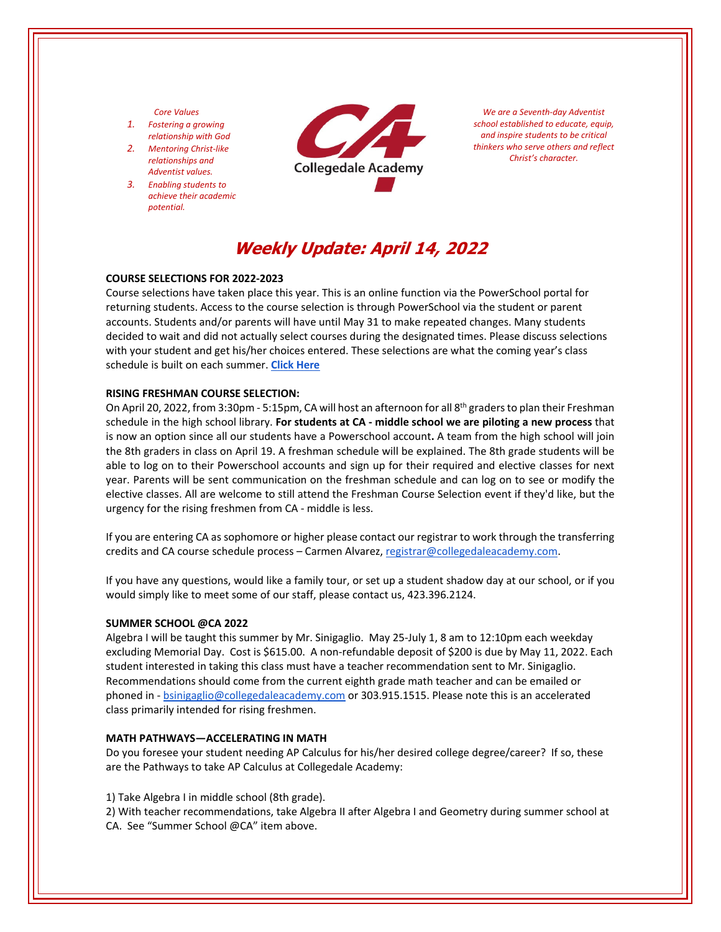#### *Core Values*

- *1. Fostering a growing relationship with God*
- *2. Mentoring Christ‐like relationships and Adventist values.*
- *3. Enabling students to achieve their academic potential.*



*We are a Seventh‐day Adventist school established to educate, equip, and inspire students to be critical thinkers who serve others and reflect Christ's character.*

# **Weekly Update: April 14, 2022**

## **COURSE SELECTIONS FOR 2022‐2023**

Course selections have taken place this year. This is an online function via the PowerSchool portal for returning students. Access to the course selection is through PowerSchool via the student or parent accounts. Students and/or parents will have until May 31 to make repeated changes. Many students decided to wait and did not actually select courses during the designated times. Please discuss selections with your student and get his/her choices entered. These selections are what the coming year's class schedule is built on each summer. **Click [Here](https://www.collegedaleacademy.com/welcome-to-ca/academics/course-sequence/)**

#### **RISING FRESHMAN COURSE SELECTION:**

On April 20, 2022, from 3:30pm - 5:15pm, CA will host an afternoon for all 8<sup>th</sup> graders to plan their Freshman schedule in the high school library. **For students at CA ‐ middle school we are piloting a new process** that is now an option since all our students have a Powerschool account**.** A team from the high school will join the 8th graders in class on April 19. A freshman schedule will be explained. The 8th grade students will be able to log on to their Powerschool accounts and sign up for their required and elective classes for next year. Parents will be sent communication on the freshman schedule and can log on to see or modify the elective classes. All are welcome to still attend the Freshman Course Selection event if they'd like, but the urgency for the rising freshmen from CA ‐ middle is less.

If you are entering CA as sophomore or higher please contact our registrar to work through the transferring credits and CA course schedule process – Carmen Alvarez, registrar@collegedaleacademy.com.

If you have any questions, would like a family tour, or set up a student shadow day at our school, or if you would simply like to meet some of our staff, please contact us, 423.396.2124.

#### **SUMMER SCHOOL @CA 2022**

Algebra I will be taught this summer by Mr. Sinigaglio. May 25‐July 1, 8 am to 12:10pm each weekday excluding Memorial Day. Cost is \$615.00. A non-refundable deposit of \$200 is due by May 11, 2022. Each student interested in taking this class must have a teacher recommendation sent to Mr. Sinigaglio. Recommendations should come from the current eighth grade math teacher and can be emailed or phoned in ‐ bsinigaglio@collegedaleacademy.com or 303.915.1515. Please note this is an accelerated class primarily intended for rising freshmen.

#### **MATH PATHWAYS—ACCELERATING IN MATH**

Do you foresee your student needing AP Calculus for his/her desired college degree/career? If so, these are the Pathways to take AP Calculus at Collegedale Academy:

1) Take Algebra I in middle school (8th grade).

2) With teacher recommendations, take Algebra II after Algebra I and Geometry during summer school at CA. See "Summer School @CA" item above.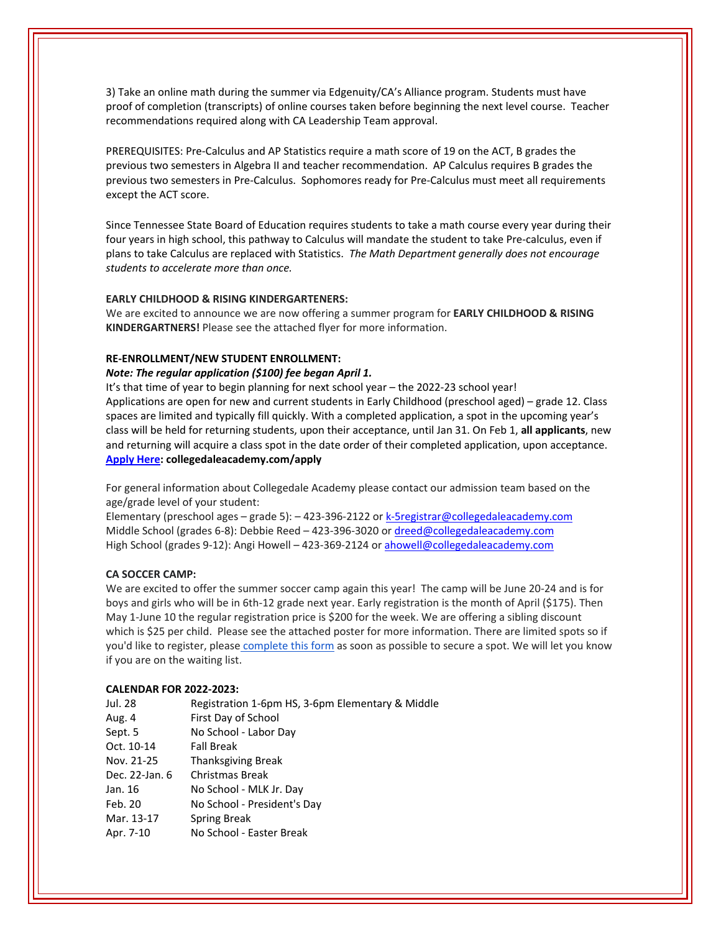3) Take an online math during the summer via Edgenuity/CA's Alliance program. Students must have proof of completion (transcripts) of online courses taken before beginning the next level course. Teacher recommendations required along with CA Leadership Team approval.

PREREQUISITES: Pre‐Calculus and AP Statistics require a math score of 19 on the ACT, B grades the previous two semesters in Algebra II and teacher recommendation. AP Calculus requires B grades the previous two semesters in Pre‐Calculus. Sophomores ready for Pre‐Calculus must meet all requirements except the ACT score.

Since Tennessee State Board of Education requires students to take a math course every year during their four years in high school, this pathway to Calculus will mandate the student to take Pre‐calculus, even if plans to take Calculus are replaced with Statistics. *The Math Department generally does not encourage students to accelerate more than once.* 

# **EARLY CHILDHOOD & RISING KINDERGARTENERS:**

We are excited to announce we are now offering a summer program for **EARLY CHILDHOOD & RISING KINDERGARTNERS!** Please see the attached flyer for more information.

## **RE‐ENROLLMENT/NEW STUDENT ENROLLMENT:**

## *Note: The regular application (\$100) fee began April 1.*

It's that time of year to begin planning for next school year – the 2022‐23 school year! Applications are open for new and current students in Early Childhood (preschool aged) – grade 12. Class spaces are limited and typically fill quickly. With a completed application, a spot in the upcoming year's class will be held for returning students, upon their acceptance, until Jan 31. On Feb 1, **all applicants**, new and returning will acquire a class spot in the date order of their completed application, upon acceptance. **[Apply](https://www.collegedaleacademy.com/apply/) Here: collegedaleacademy.com/apply**

For general information about Collegedale Academy please contact our admission team based on the age/grade level of your student:

Elementary (preschool ages – grade 5): – 423-396-2122 or k-5registrar@collegedaleacademy.com Middle School (grades 6‐8): Debbie Reed – 423‐396‐3020 or dreed@collegedaleacademy.com High School (grades 9‐12): Angi Howell – 423‐369‐2124 or ahowell@collegedaleacademy.com

## **CA SOCCER CAMP:**

We are excited to offer the summer soccer camp again this year! The camp will be June 20-24 and is for boys and girls who will be in 6th‐12 grade next year. Early registration is the month of April (\$175). Then May 1-June 10 the regular registration price is \$200 for the week. We are offering a sibling discount which is \$25 per child. Please see the attached poster for more information. There are limited spots so if you'd like to register, please [complete](https://docs.google.com/forms/d/e/1FAIpQLSd7F9MiyyKrREO9wjKqHyqIU2PvgvAk4mvqSDD298h4UqnFjA/viewform) this form as soon as possible to secure a spot. We will let you know if you are on the waiting list.

## **CALENDAR FOR 2022‐2023:**

| Jul. 28        | Registration 1-6pm HS, 3-6pm Elementary & Middle |
|----------------|--------------------------------------------------|
| Aug. 4         | First Day of School                              |
| Sept. 5        | No School - Labor Day                            |
| Oct. 10-14     | <b>Fall Break</b>                                |
| Nov. 21-25     | <b>Thanksgiving Break</b>                        |
| Dec. 22-Jan. 6 | Christmas Break                                  |
| Jan. 16        | No School - MLK Jr. Day                          |
| Feb. 20        | No School - President's Day                      |
| Mar. 13-17     | Spring Break                                     |
| Apr. 7-10      | No School - Easter Break                         |
|                |                                                  |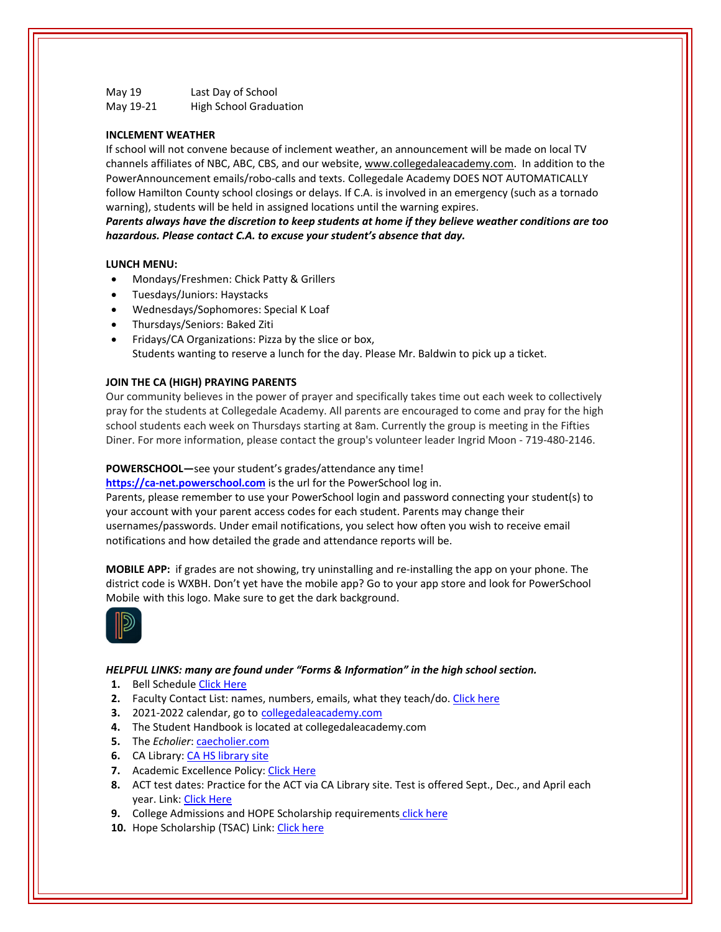May 19 **Last Day of School** May 19-21 High School Graduation

# **INCLEMENT WEATHER**

If school will not convene because of inclement weather, an announcement will be made on local TV channels affiliates of NBC, ABC, CBS, and our website, www.collegedaleacademy.com. In addition to the PowerAnnouncement emails/robo‐calls and texts. Collegedale Academy DOES NOT AUTOMATICALLY follow Hamilton County school closings or delays. If C.A. is involved in an emergency (such as a tornado warning), students will be held in assigned locations until the warning expires.

*Parents always have the discretion to keep students at home if they believe weather conditions are too hazardous. Please contact C.A. to excuse your student's absence that day.*

# **LUNCH MENU:**

- Mondays/Freshmen: Chick Patty & Grillers
- Tuesdays/Juniors: Haystacks
- Wednesdays/Sophomores: Special K Loaf
- Thursdays/Seniors: Baked Ziti
- Fridays/CA Organizations: Pizza by the slice or box, Students wanting to reserve a lunch for the day. Please Mr. Baldwin to pick up a ticket.

#### **JOIN THE CA (HIGH) PRAYING PARENTS**

Our community believes in the power of prayer and specifically takes time out each week to collectively pray for the students at Collegedale Academy. All parents are encouraged to come and pray for the high school students each week on Thursdays starting at 8am. Currently the group is meeting in the Fifties Diner. For more information, please contact the group's volunteer leader Ingrid Moon ‐ 719‐480‐2146.

#### **POWERSCHOOL—**see your student's grades/attendance any time!

https://ca-[net.powerschool.com](https://ca-net.powerschool.com/public/) is the url for the PowerSchool log in. Parents, please remember to use your PowerSchool login and password connecting your student(s) to your account with your parent access codes for each student. Parents may change their usernames/passwords. Under email notifications, you select how often you wish to receive email notifications and how detailed the grade and attendance reports will be.

**MOBILE APP:** if grades are not showing, try uninstalling and re‐installing the app on your phone. The district code is WXBH. Don't yet have the mobile app? Go to your app store and look for PowerSchool Mobile with this logo. Make sure to get the dark background.



#### *HELPFUL LINKS: many are found under "Forms & Information" in the high school section.*

- **1.** Bell Schedule Click [Here](https://www.collegedaleacademy.com/wp-content/uploads/2018/08/Bell-Schedule.pdf)
- **2.** Faculty Contact List: names, numbers, emails, what they teach/do. Click [here](https://www.collegedaleacademy.com/wp-content/uploads/2021/08/faculty-only-2021-2022.pdf)
- **3.** 2021‐2022 calendar, go to [collegedaleacademy.com](https://www.collegedaleacademy.com/calendars/)
- **4.** The Student Handbook is located at collegedaleacademy.com
- **5.** The *Echolier*: [caecholier.com](https://caecholier.com/)
- **6.** CA Library: CA HS [library](https://southernuniongcc.mlasolutions.com/m5/catalog/(S(sitd201ofxut3asai1e5fahw))/default.aspx?installation=CDA) site
- **7.** Academic Excellence Policy: Click [Here](https://www.collegedaleacademy.com/wp-content/uploads/2018/08/Academic-Excellence-Policy.pdf)
- **8.** ACT test dates: Practice for the ACT via CA Library site. Test is offered Sept., Dec., and April each year. Link: Click [Here](https://www.act.org/)
- **9.** College Admissions and HOPE Scholarship requirements click [here](https://www.collegedaleacademy.com/wp-content/uploads/2019/08/TSAC-Scholarship-Info.pdf)
- 10. Hope Scholarship (TSAC) Link: Click [here](https://www.tn.gov/collegepays/money-for-college/tn-education-lottery-programs/tennessee-hope-scholarship.html)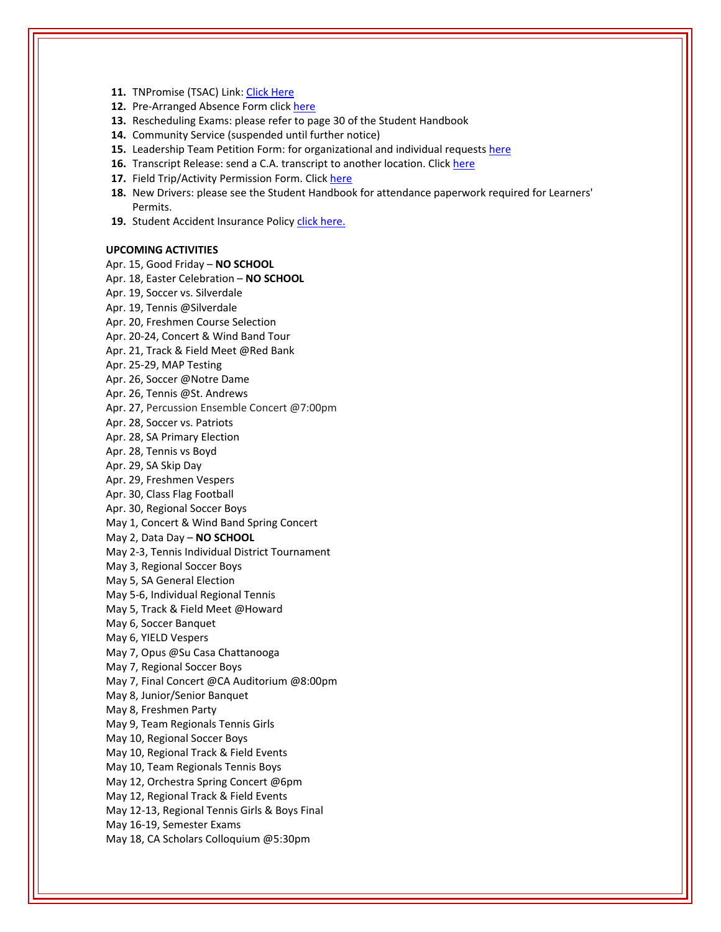- **11.** TNPromise (TSAC) Link: Click [Here](https://www.tn.gov/tnpromise.html)
- 12. Pre-Arranged Absence Form click [here](https://www.collegedaleacademy.com/wp-content/uploads/2016/11/Class-Absence-Request-Form-May-2017.pdf)
- **13.** Rescheduling Exams: please refer to page 30 of the Student Handbook
- **14.** Community Service (suspended until further notice)
- **15.** Leadership Team Petition Form: for organizational and individual requests [here](https://www.collegedaleacademy.com/wp-content/uploads/2019/08/Leadership-Petition-SSch.pdf)
- **16.** Transcript Release: send a C.A. transcript to another location. Click [here](https://collegedaleacademy.wufoo.com/forms/q1bmc4gg10gftjs/)
- **17.** Field Trip/Activity Permission Form. Click [here](https://www.collegedaleacademy.com/wp-content/uploads/2018/08/Field-Trip-form.pdf)
- **18.** New Drivers: please see the Student Handbook for attendance paperwork required for Learners' Permits.
- 19. Student Accident Insurance Policy click [here.](https://adventistrisk.org/en-us/insurance/nad/k-12-student-accident)

#### **UPCOMING ACTIVITIES**

Apr. 15, Good Friday – **NO SCHOOL** Apr. 18, Easter Celebration – **NO SCHOOL** Apr. 19, Soccer vs. Silverdale Apr. 19, Tennis @Silverdale Apr. 20, Freshmen Course Selection Apr. 20‐24, Concert & Wind Band Tour Apr. 21, Track & Field Meet @Red Bank Apr. 25‐29, MAP Testing Apr. 26, Soccer @Notre Dame Apr. 26, Tennis @St. Andrews Apr. 27, Percussion Ensemble Concert @7:00pm Apr. 28, Soccer vs. Patriots Apr. 28, SA Primary Election Apr. 28, Tennis vs Boyd Apr. 29, SA Skip Day Apr. 29, Freshmen Vespers Apr. 30, Class Flag Football Apr. 30, Regional Soccer Boys May 1, Concert & Wind Band Spring Concert May 2, Data Day – **NO SCHOOL** May 2‐3, Tennis Individual District Tournament May 3, Regional Soccer Boys May 5, SA General Election May 5‐6, Individual Regional Tennis May 5, Track & Field Meet @Howard May 6, Soccer Banquet May 6, YIELD Vespers May 7, Opus @Su Casa Chattanooga May 7, Regional Soccer Boys May 7, Final Concert @CA Auditorium @8:00pm May 8, Junior/Senior Banquet May 8, Freshmen Party May 9, Team Regionals Tennis Girls May 10, Regional Soccer Boys May 10, Regional Track & Field Events May 10, Team Regionals Tennis Boys May 12, Orchestra Spring Concert @6pm May 12, Regional Track & Field Events May 12‐13, Regional Tennis Girls & Boys Final May 16‐19, Semester Exams May 18, CA Scholars Colloquium @5:30pm